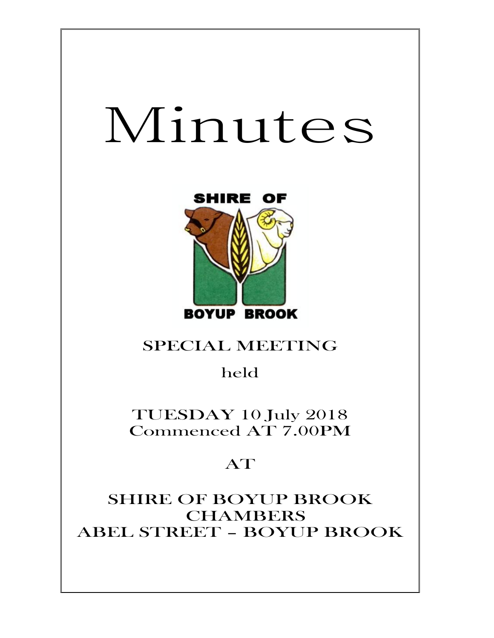# Minutes



## SPECIAL MEETING

## held

TUESDAY 10 July 2018 Commenced AT 7.00PM

# AT

SHIRE OF BOYUP BROOK CHAMBERS ABEL STREET – BOYUP BROOK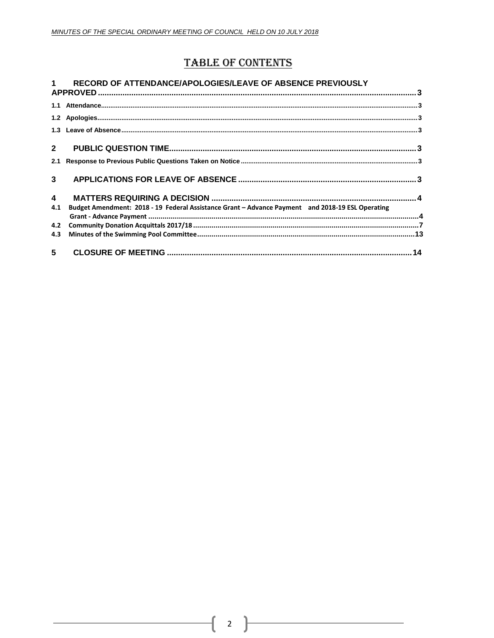## **TABLE OF CONTENTS**

|                         | RECORD OF ATTENDANCE/APOLOGIES/LEAVE OF ABSENCE PREVIOUSLY                                       |  |
|-------------------------|--------------------------------------------------------------------------------------------------|--|
|                         |                                                                                                  |  |
|                         |                                                                                                  |  |
|                         |                                                                                                  |  |
| $\overline{2}$          |                                                                                                  |  |
| 2.1                     |                                                                                                  |  |
| 3                       |                                                                                                  |  |
| $\overline{\mathbf{4}}$ |                                                                                                  |  |
| 4.1                     | Budget Amendment: 2018 - 19 Federal Assistance Grant - Advance Payment and 2018-19 ESL Operating |  |
| 4.2                     |                                                                                                  |  |
| 4.3                     |                                                                                                  |  |
| 5 <sup>5</sup>          |                                                                                                  |  |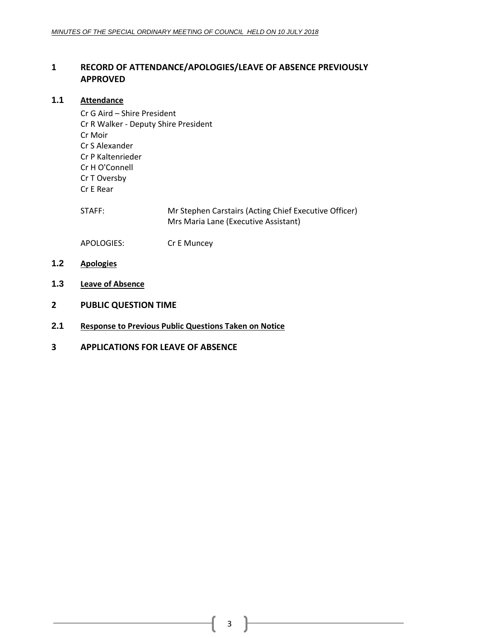### <span id="page-2-0"></span>**1 RECORD OF ATTENDANCE/APOLOGIES/LEAVE OF ABSENCE PREVIOUSLY APPROVED**

#### <span id="page-2-1"></span>**1.1 Attendance**

Cr G Aird – Shire President Cr R Walker - Deputy Shire President Cr Moir Cr S Alexander Cr P Kaltenrieder Cr H O'Connell Cr T Oversby Cr E Rear

STAFF: Mr Stephen Carstairs (Acting Chief Executive Officer) Mrs Maria Lane (Executive Assistant)

APOLOGIES: Cr E Muncey

- <span id="page-2-2"></span>**1.2 Apologies**
- <span id="page-2-3"></span>**1.3 Leave of Absence**
- <span id="page-2-4"></span>**2 PUBLIC QUESTION TIME**
- <span id="page-2-5"></span>**2.1 Response to Previous Public Questions Taken on Notice**
- <span id="page-2-6"></span>**3 APPLICATIONS FOR LEAVE OF ABSENCE**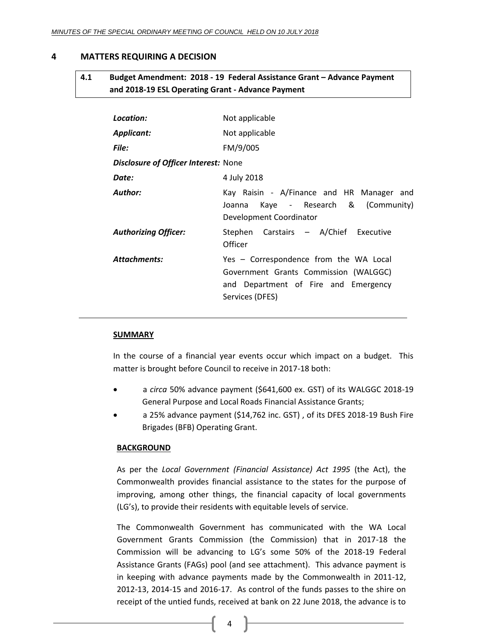#### <span id="page-3-1"></span><span id="page-3-0"></span>**4 MATTERS REQUIRING A DECISION**

## **4.1 Budget Amendment: 2018 - 19 Federal Assistance Grant – Advance Payment and 2018-19 ESL Operating Grant - Advance Payment**

| Location:                                   | Not applicable                                                                                                                             |
|---------------------------------------------|--------------------------------------------------------------------------------------------------------------------------------------------|
| Applicant:                                  | Not applicable                                                                                                                             |
| <b>File:</b>                                | FM/9/005                                                                                                                                   |
| <b>Disclosure of Officer Interest: None</b> |                                                                                                                                            |
| Date:                                       | 4 July 2018                                                                                                                                |
| Author:                                     | Kay Raisin - A/Finance and HR Manager and<br>Kaye - Research & (Community)<br>Joanna<br>Development Coordinator                            |
| <b>Authorizing Officer:</b>                 | Stephen Carstairs - A/Chief Executive<br>Officer                                                                                           |
| <b>Attachments:</b>                         | Yes - Correspondence from the WA Local<br>Government Grants Commission (WALGGC)<br>and Department of Fire and Emergency<br>Services (DFES) |

#### **SUMMARY**

In the course of a financial year events occur which impact on a budget. This matter is brought before Council to receive in 2017-18 both:

- a *circa* 50% advance payment (\$641,600 ex. GST) of its WALGGC 2018-19 General Purpose and Local Roads Financial Assistance Grants;
- a 25% advance payment (\$14,762 inc. GST) , of its DFES 2018-19 Bush Fire Brigades (BFB) Operating Grant.

#### **BACKGROUND**

As per the *Local Government (Financial Assistance) Act 1995* (the Act), the Commonwealth provides financial assistance to the states for the purpose of improving, among other things, the financial capacity of local governments (LG's), to provide their residents with equitable levels of service.

The Commonwealth Government has communicated with the WA Local Government Grants Commission (the Commission) that in 2017-18 the Commission will be advancing to LG's some 50% of the 2018-19 Federal Assistance Grants (FAGs) pool (and see attachment). This advance payment is in keeping with advance payments made by the Commonwealth in 2011-12, 2012-13, 2014-15 and 2016-17. As control of the funds passes to the shire on receipt of the untied funds, received at bank on 22 June 2018, the advance is to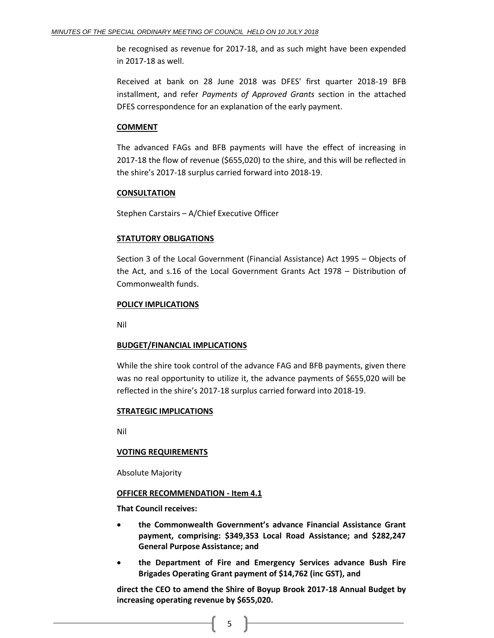be recognised as revenue for 2017-18, and as such might have been expended in 2017-18 as well.

Received at bank on 28 June 2018 was DFES' first quarter 2018-19 BFB installment, and refer *Payments of Approved Grants* section in the attached DFES correspondence for an explanation of the early payment.

#### **COMMENT**

The advanced FAGs and BFB payments will have the effect of increasing in 2017-18 the flow of revenue (\$655,020) to the shire, and this will be reflected in the shire's 2017-18 surplus carried forward into 2018-19.

#### **CONSULTATION**

Stephen Carstairs – A/Chief Executive Officer

#### **STATUTORY OBLIGATIONS**

Section 3 of the Local Government (Financial Assistance) Act 1995 – Objects of the Act, and s.16 of the Local Government Grants Act 1978 – Distribution of Commonwealth funds.

#### **POLICY IMPLICATIONS**

Nil

#### **BUDGET/FINANCIAL IMPLICATIONS**

While the shire took control of the advance FAG and BFB payments, given there was no real opportunity to utilize it, the advance payments of \$655,020 will be reflected in the shire's 2017-18 surplus carried forward into 2018-19.

#### **STRATEGIC IMPLICATIONS**

Nil

#### **VOTING REQUIREMENTS**

Absolute Majority

#### **OFFICER RECOMMENDATION - Item 4.1**

**That Council receives:**

- **the Commonwealth Government's advance Financial Assistance Grant payment, comprising: \$349,353 Local Road Assistance; and \$282,247 General Purpose Assistance; and**
- **the Department of Fire and Emergency Services advance Bush Fire Brigades Operating Grant payment of \$14,762 (inc GST), and**

**direct the CEO to amend the Shire of Boyup Brook 2017-18 Annual Budget by increasing operating revenue by \$655,020.**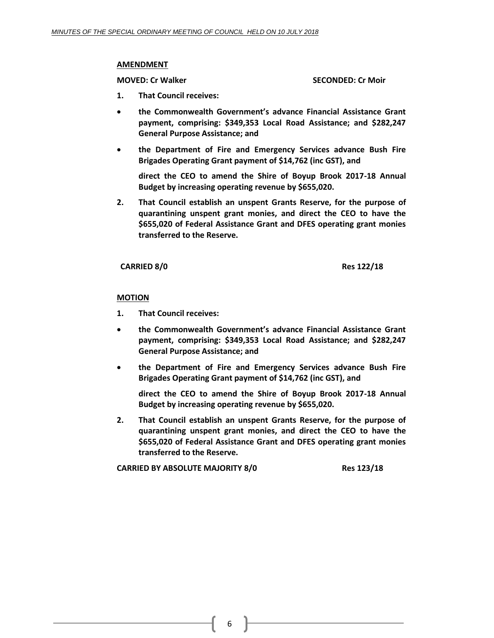#### **AMENDMENT**

**MOVED: Cr Walker SECONDED: Cr Moir**

- **1. That Council receives:**
- **the Commonwealth Government's advance Financial Assistance Grant payment, comprising: \$349,353 Local Road Assistance; and \$282,247 General Purpose Assistance; and**
- **the Department of Fire and Emergency Services advance Bush Fire Brigades Operating Grant payment of \$14,762 (inc GST), and**

**direct the CEO to amend the Shire of Boyup Brook 2017-18 Annual Budget by increasing operating revenue by \$655,020.**

**2. That Council establish an unspent Grants Reserve, for the purpose of quarantining unspent grant monies, and direct the CEO to have the \$655,020 of Federal Assistance Grant and DFES operating grant monies transferred to the Reserve.**

**CARRIED 8/0 Res 122/18**

#### **MOTION**

- **1. That Council receives:**
- **the Commonwealth Government's advance Financial Assistance Grant payment, comprising: \$349,353 Local Road Assistance; and \$282,247 General Purpose Assistance; and**
- **the Department of Fire and Emergency Services advance Bush Fire Brigades Operating Grant payment of \$14,762 (inc GST), and**

**direct the CEO to amend the Shire of Boyup Brook 2017-18 Annual Budget by increasing operating revenue by \$655,020.**

**2. That Council establish an unspent Grants Reserve, for the purpose of quarantining unspent grant monies, and direct the CEO to have the \$655,020 of Federal Assistance Grant and DFES operating grant monies transferred to the Reserve.**

**CARRIED BY ABSOLUTE MAJORITY 8/0 Res 123/18**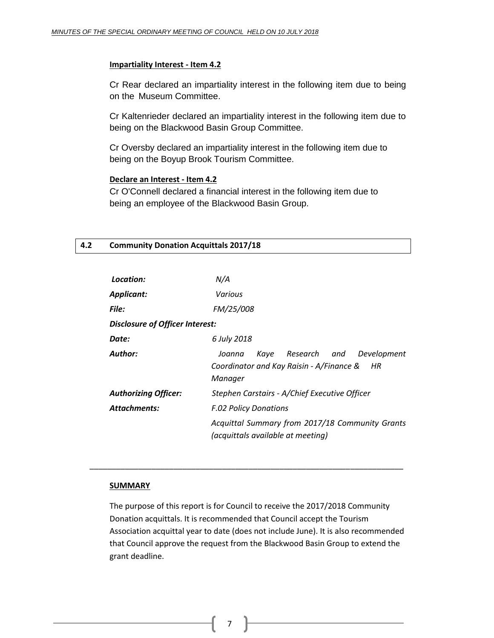#### **Impartiality Interest - Item 4.2**

Cr Rear declared an impartiality interest in the following item due to being on the Museum Committee.

Cr Kaltenrieder declared an impartiality interest in the following item due to being on the Blackwood Basin Group Committee.

Cr Oversby declared an impartiality interest in the following item due to being on the Boyup Brook Tourism Committee.

#### **Declare an Interest - Item 4.2**

Cr O'Connell declared a financial interest in the following item due to being an employee of the Blackwood Basin Group.

#### <span id="page-6-0"></span>**4.2 Community Donation Acquittals 2017/18**

| Location:                              | N/A                                                                                                           |  |
|----------------------------------------|---------------------------------------------------------------------------------------------------------------|--|
| <b>Applicant:</b>                      | Various                                                                                                       |  |
| <b>File:</b>                           | FM/25/008                                                                                                     |  |
| <b>Disclosure of Officer Interest:</b> |                                                                                                               |  |
| Date:                                  | 6 July 2018                                                                                                   |  |
| Author:                                | Research<br>Development<br>Kaye<br>and<br>Joanna<br>Coordinator and Kay Raisin - A/Finance &<br>HR<br>Manager |  |
| <b>Authorizing Officer:</b>            | Stephen Carstairs - A/Chief Executive Officer                                                                 |  |
| Attachments:                           | <b>F.02 Policy Donations</b>                                                                                  |  |
|                                        | Acquittal Summary from 2017/18 Community Grants<br>(acquittals available at meeting)                          |  |

#### **SUMMARY**

The purpose of this report is for Council to receive the 2017/2018 Community Donation acquittals. It is recommended that Council accept the Tourism Association acquittal year to date (does not include June). It is also recommended that Council approve the request from the Blackwood Basin Group to extend the grant deadline.

7

\_\_\_\_\_\_\_\_\_\_\_\_\_\_\_\_\_\_\_\_\_\_\_\_\_\_\_\_\_\_\_\_\_\_\_\_\_\_\_\_\_\_\_\_\_\_\_\_\_\_\_\_\_\_\_\_\_\_\_\_\_\_\_\_\_\_\_\_\_\_\_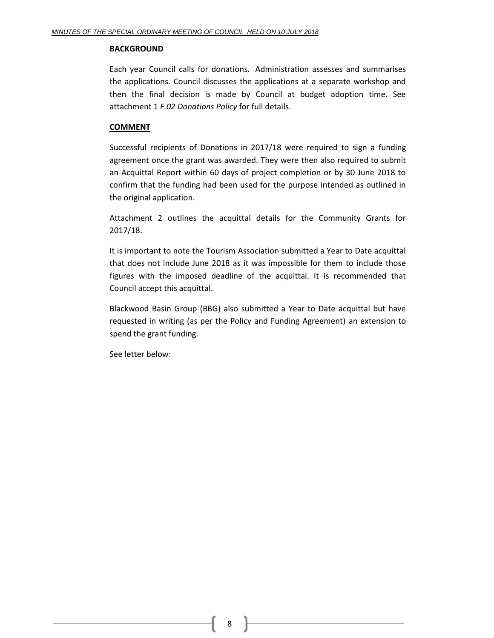#### **BACKGROUND**

 Each year Council calls for donations. Administration assesses and summarises the applications. Council discusses the applications at a separate workshop and then the final decision is made by Council at budget adoption time. See attachment 1 *F.02 Donations Policy* for full details.

#### **COMMENT**

Successful recipients of Donations in 2017/18 were required to sign a funding agreement once the grant was awarded. They were then also required to submit an Acquittal Report within 60 days of project completion or by 30 June 2018 to confirm that the funding had been used for the purpose intended as outlined in the original application.

Attachment 2 outlines the acquittal details for the Community Grants for 2017/18.

It is important to note the Tourism Association submitted a Year to Date acquittal that does not include June 2018 as it was impossible for them to include those figures with the imposed deadline of the acquittal. It is recommended that Council accept this acquittal.

 Blackwood Basin Group (BBG) also submitted a Year to Date acquittal but have requested in writing (as per the Policy and Funding Agreement) an extension to spend the grant funding.

See letter below: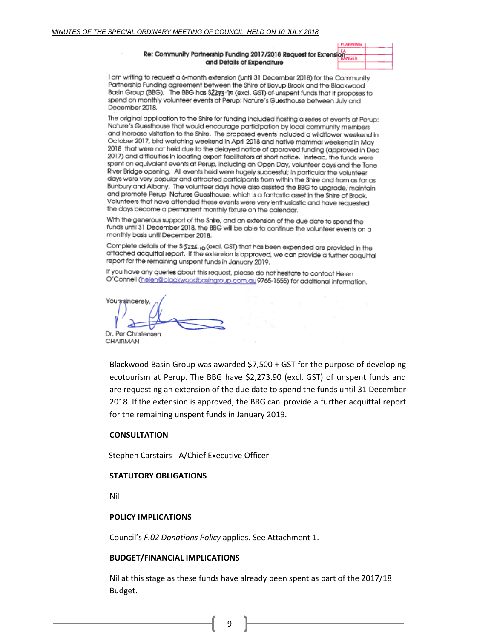#### Re: Community Partnership Funding 2017/2018 Request for Extensio and Details of Expenditure

I am writing to request a 6-month extension (until 31 December 2018) for the Community Partnership Funding agreement between the Shire of Boyup Brook and the Blackwood Basin Group (BBG). The BBG has \$2273 '90 (excl. GST) of unspent funds that it proposes to spend on monthly volunteer events at Perup: Nature's Guesthouse between July and December 2018.

The original application to the Shire for funding included hosting a series of events at Perup: Nature's Guesthouse that would encourage participation by local community members and increase visitation to the Shire. The proposed events included a wildflower weekend in October 2017, bird watching weekend in April 2018 and native mammal weekend in May 2018 that were not held due to the delayed notice of approved funding (approved in Dec 2017) and difficulties in locating expert facilitators at short notice. Instead, the funds were spent on equivalent events at Perup, including an Open Day, volunteer days and the Tone River Bridge opening. All events held were hugely successful; in particular the volunteer days were very popular and attracted participants from within the Shire and from as far as Bunbury and Albany. The volunteer days have also assisted the BBG to upgrade, maintain and promote Perup: Natures Guesthouse, which is a fantastic asset in the Shire of Brook. Volunteers that have attended these events were very enthusiastic and have requested the days become a permanent monthly fixture on the calendar.

With the generous support of the Shire, and an extension of the due date to spend the funds until 31 December 2018, the BBG will be able to continue the volunteer events on a monthly basis until December 2018.

Complete details of the \$5226.10 (excl. GST) that has been expended are provided in the attached acquittal report. If the extension is approved, we can provide a further acquittal report for the remaining unspent funds in January 2019.

If you have any queries about this request, please do not hesitate to contact Helen O'Connell (helen@biackwoodbasingroup.com.au9765-1555) for additional information.

Yours sincerely, Dr. Per Christensen

CHAIRMAN

Blackwood Basin Group was awarded \$7,500 + GST for the purpose of developing ecotourism at Perup. The BBG have \$2,273.90 (excl. GST) of unspent funds and are requesting an extension of the due date to spend the funds until 31 December 2018. If the extension is approved, the BBG can provide a further acquittal report for the remaining unspent funds in January 2019.

#### **CONSULTATION**

Stephen Carstairs - A/Chief Executive Officer

#### **STATUTORY OBLIGATIONS**

Nil

#### **POLICY IMPLICATIONS**

Council's *F.02 Donations Policy* applies. See Attachment 1.

#### **BUDGET/FINANCIAL IMPLICATIONS**

Nil at this stage as these funds have already been spent as part of the 2017/18 Budget.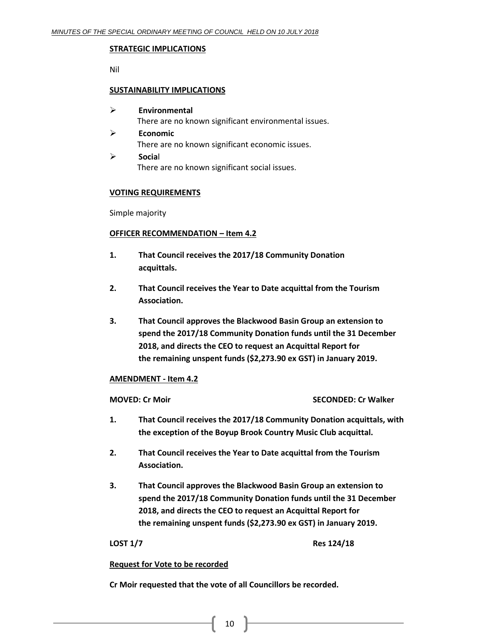#### **STRATEGIC IMPLICATIONS**

Nil

#### **SUSTAINABILITY IMPLICATIONS**

- **Environmental** There are no known significant environmental issues.
- **Economic** There are no known significant economic issues. **Socia**l

There are no known significant social issues.

#### **VOTING REQUIREMENTS**

Simple majority

#### **OFFICER RECOMMENDATION – Item 4.2**

- **1. That Council receives the 2017/18 Community Donation acquittals.**
- **2. That Council receives the Year to Date acquittal from the Tourism Association.**
- **3. That Council approves the Blackwood Basin Group an extension to spend the 2017/18 Community Donation funds until the 31 December 2018, and directs the CEO to request an Acquittal Report for the remaining unspent funds (\$2,273.90 ex GST) in January 2019.**

#### **AMENDMENT - Item 4.2**

**MOVED: Cr Moir SECONDED: Cr Walker**

- **1. That Council receives the 2017/18 Community Donation acquittals, with the exception of the Boyup Brook Country Music Club acquittal.**
- **2. That Council receives the Year to Date acquittal from the Tourism Association.**
- **3. That Council approves the Blackwood Basin Group an extension to spend the 2017/18 Community Donation funds until the 31 December 2018, and directs the CEO to request an Acquittal Report for the remaining unspent funds (\$2,273.90 ex GST) in January 2019.**

**LOST 1/7 Res 124/18**

#### **Request for Vote to be recorded**

**Cr Moir requested that the vote of all Councillors be recorded.**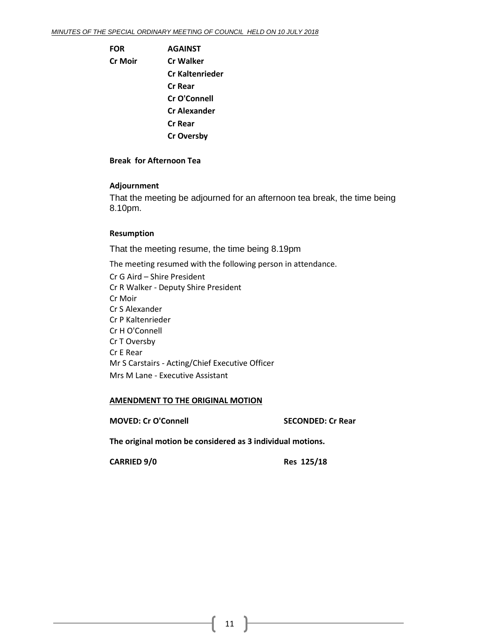**FOR AGAINST Cr Moir Cr Walker Cr Kaltenrieder Cr Rear Cr O'Connell Cr Alexander Cr Rear Cr Oversby**

#### **Break for Afternoon Tea**

#### **Adjournment**

That the meeting be adjourned for an afternoon tea break, the time being 8.10pm.

#### **Resumption**

That the meeting resume, the time being 8.19pm

The meeting resumed with the following person in attendance.

Cr G Aird – Shire President Cr R Walker - Deputy Shire President Cr Moir Cr S Alexander Cr P Kaltenrieder Cr H O'Connell Cr T Oversby Cr E Rear Mr S Carstairs - Acting/Chief Executive Officer Mrs M Lane - Executive Assistant

#### **AMENDMENT TO THE ORIGINAL MOTION**

**MOVED: Cr O'Connell SECONDED: Cr Rear**

**The original motion be considered as 3 individual motions.**

**CARRIED 9/0 Res 125/18**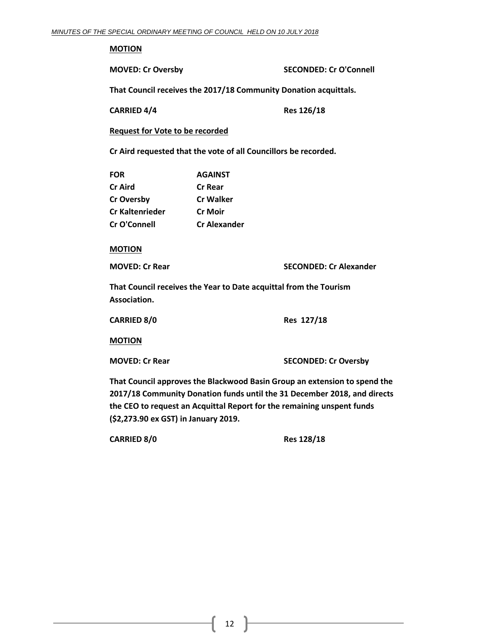#### **MOTION**

**MOVED: Cr Oversby SECONDED: Cr O'Connell**

**That Council receives the 2017/18 Community Donation acquittals.**

**CARRIED 4/4 Res 126/18**

**Request for Vote to be recorded**

**Cr Aird requested that the vote of all Councillors be recorded.**

| <b>FOR</b>        | <b>AGAINST</b>      |
|-------------------|---------------------|
| Cr Aird           | <b>Cr Rear</b>      |
| <b>Cr Oversby</b> | <b>Cr Walker</b>    |
| Cr Kaltenrieder   | <b>Cr Moir</b>      |
| Cr O'Connell      | <b>Cr Alexander</b> |

**MOTION**

**MOVED: Cr Rear SECONDED: Cr Alexander**

**That Council receives the Year to Date acquittal from the Tourism Association.**

| CARRIED 8/0 | Res 127/18 |
|-------------|------------|
|             |            |

**MOTION**

**MOVED: Cr Rear SECONDED: Cr Oversby**

**That Council approves the Blackwood Basin Group an extension to spend the 2017/18 Community Donation funds until the 31 December 2018, and directs the CEO to request an Acquittal Report for the remaining unspent funds (\$2,273.90 ex GST) in January 2019.**

**CARRIED 8/0 Res 128/18**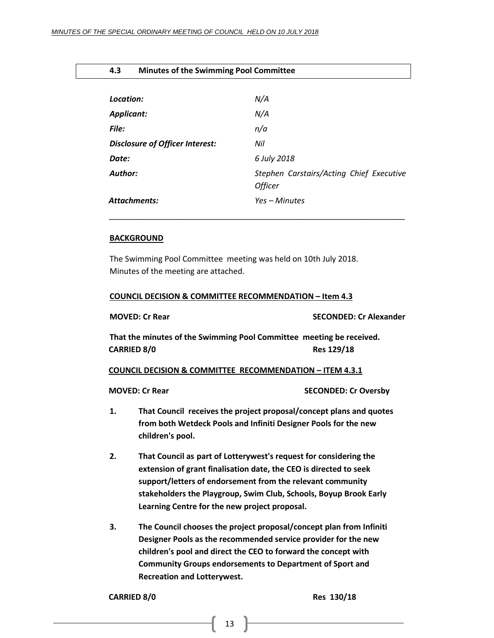#### <span id="page-12-0"></span>**4.3 Minutes of the Swimming Pool Committee**

| Location:                              | N/A                                                        |
|----------------------------------------|------------------------------------------------------------|
| <b>Applicant:</b>                      | N/A                                                        |
| File:                                  | n/a                                                        |
| <b>Disclosure of Officer Interest:</b> | Nil                                                        |
| Date:                                  | 6 July 2018                                                |
| Author:                                | Stephen Carstairs/Acting Chief Executive<br><b>Officer</b> |
| <b>Attachments:</b>                    | Yes – Minutes                                              |
|                                        |                                                            |

#### **BACKGROUND**

The Swimming Pool Committee meeting was held on 10th July 2018. Minutes of the meeting are attached.

#### **COUNCIL DECISION & COMMITTEE RECOMMENDATION – Item 4.3**

|                                                                                                          | <b>MOVED: Cr Rear</b>                                                                                                                                                                                                                                                                                                      | <b>SECONDED: Cr Alexander</b> |  |
|----------------------------------------------------------------------------------------------------------|----------------------------------------------------------------------------------------------------------------------------------------------------------------------------------------------------------------------------------------------------------------------------------------------------------------------------|-------------------------------|--|
| That the minutes of the Swimming Pool Committee meeting be received.<br><b>CARRIED 8/0</b><br>Res 129/18 |                                                                                                                                                                                                                                                                                                                            |                               |  |
|                                                                                                          | <b>COUNCIL DECISION &amp; COMMITTEE RECOMMENDATION - ITEM 4.3.1</b>                                                                                                                                                                                                                                                        |                               |  |
|                                                                                                          | <b>MOVED: Cr Rear</b>                                                                                                                                                                                                                                                                                                      | <b>SECONDED: Cr Oversby</b>   |  |
| 1.                                                                                                       | That Council receives the project proposal/concept plans and quotes<br>from both Wetdeck Pools and Infiniti Designer Pools for the new<br>children's pool.                                                                                                                                                                 |                               |  |
| 2.                                                                                                       | That Council as part of Lotterywest's request for considering the<br>extension of grant finalisation date, the CEO is directed to seek<br>support/letters of endorsement from the relevant community<br>stakeholders the Playgroup, Swim Club, Schools, Boyup Brook Early<br>Learning Centre for the new project proposal. |                               |  |
| 3.                                                                                                       | The Council chooses the project proposal/concept plan from Infiniti<br>Designer Pools as the recommended service provider for the new                                                                                                                                                                                      |                               |  |

**children's pool and direct the CEO to forward the concept with Community Groups endorsements to Department of Sport and Recreation and Lotterywest.** 

#### **CARRIED 8/0 Res 130/18**